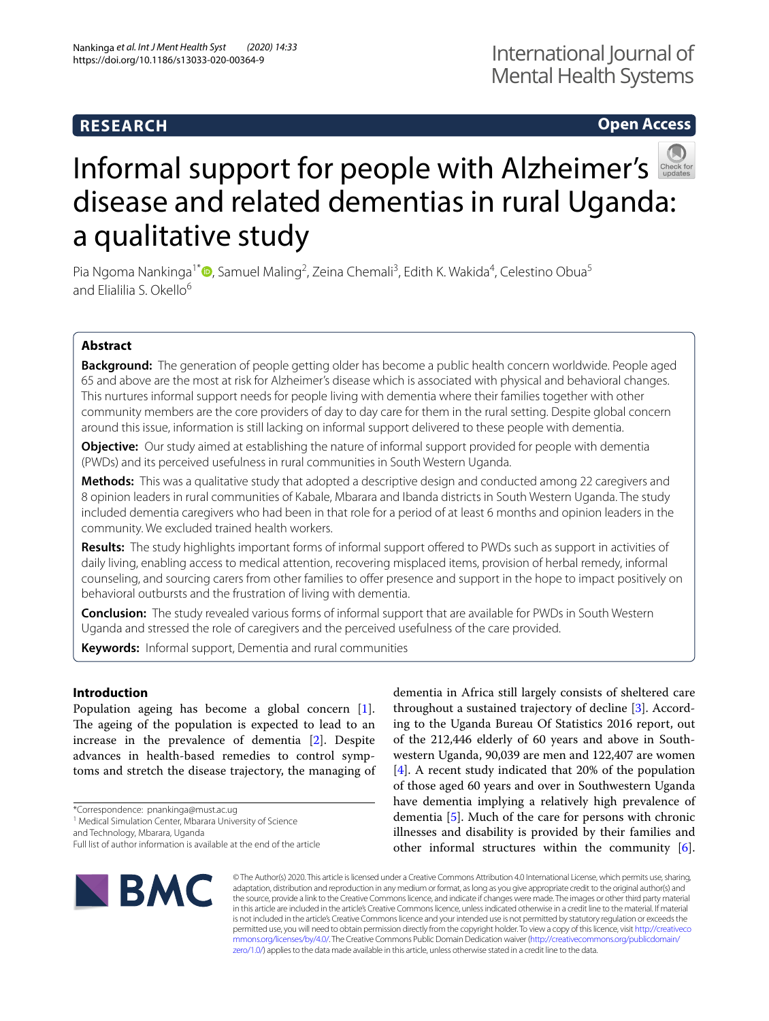# **RESEARCH**

## **Open Access**



# Informalsupport for people with Alzheimer's disease and related dementias in rural Uganda: a qualitative study

Pia Ngoma Nankinga<sup>1[\\*](http://orcid.org/0000-0001-8203-2193)</sup>®, Samuel Maling<sup>2</sup>, Zeina Chemali<sup>3</sup>, Edith K. Wakida<sup>4</sup>, Celestino Obua<sup>5</sup> and Elialilia S. Okello<sup>6</sup>

## **Abstract**

**Background:** The generation of people getting older has become a public health concern worldwide. People aged 65 and above are the most at risk for Alzheimer's disease which is associated with physical and behavioral changes. This nurtures informal support needs for people living with dementia where their families together with other community members are the core providers of day to day care for them in the rural setting. Despite global concern around this issue, information is still lacking on informal support delivered to these people with dementia.

**Objective:** Our study aimed at establishing the nature of informal support provided for people with dementia (PWDs) and its perceived usefulness in rural communities in South Western Uganda.

**Methods:** This was a qualitative study that adopted a descriptive design and conducted among 22 caregivers and 8 opinion leaders in rural communities of Kabale, Mbarara and Ibanda districts in South Western Uganda. The study included dementia caregivers who had been in that role for a period of at least 6 months and opinion leaders in the community. We excluded trained health workers.

**Results:** The study highlights important forms of informal support ofered to PWDs such as support in activities of daily living, enabling access to medical attention, recovering misplaced items, provision of herbal remedy, informal counseling, and sourcing carers from other families to ofer presence and support in the hope to impact positively on behavioral outbursts and the frustration of living with dementia.

**Conclusion:** The study revealed various forms of informal support that are available for PWDs in South Western Uganda and stressed the role of caregivers and the perceived usefulness of the care provided.

**Keywords:** Informal support, Dementia and rural communities

## **Introduction**

Population ageing has become a global concern [\[1](#page-10-0)]. The ageing of the population is expected to lead to an increase in the prevalence of dementia [[2\]](#page-10-1). Despite advances in health-based remedies to control symptoms and stretch the disease trajectory, the managing of

\*Correspondence: pnankinga@must.ac.ug

and Technology, Mbarara, Uganda

dementia in Africa still largely consists of sheltered care throughout a sustained trajectory of decline [\[3](#page-10-2)]. According to the Uganda Bureau Of Statistics 2016 report, out of the 212,446 elderly of 60 years and above in Southwestern Uganda, 90,039 are men and 122,407 are women [[4\]](#page-10-3). A recent study indicated that 20% of the population of those aged 60 years and over in Southwestern Uganda have dementia implying a relatively high prevalence of dementia [\[5\]](#page-10-4). Much of the care for persons with chronic illnesses and disability is provided by their families and other informal structures within the community [\[6](#page-10-5)].



© The Author(s) 2020. This article is licensed under a Creative Commons Attribution 4.0 International License, which permits use, sharing, adaptation, distribution and reproduction in any medium or format, as long as you give appropriate credit to the original author(s) and the source, provide a link to the Creative Commons licence, and indicate if changes were made. The images or other third party material in this article are included in the article's Creative Commons licence, unless indicated otherwise in a credit line to the material. If material is not included in the article's Creative Commons licence and your intended use is not permitted by statutory regulation or exceeds the permitted use, you will need to obtain permission directly from the copyright holder. To view a copy of this licence, visit [http://creativeco](http://creativecommons.org/licenses/by/4.0/) [mmons.org/licenses/by/4.0/.](http://creativecommons.org/licenses/by/4.0/) The Creative Commons Public Domain Dedication waiver ([http://creativecommons.org/publicdomain/](http://creativecommons.org/publicdomain/zero/1.0/) [zero/1.0/\)](http://creativecommons.org/publicdomain/zero/1.0/) applies to the data made available in this article, unless otherwise stated in a credit line to the data.

<sup>&</sup>lt;sup>1</sup> Medical Simulation Center, Mbarara University of Science

Full list of author information is available at the end of the article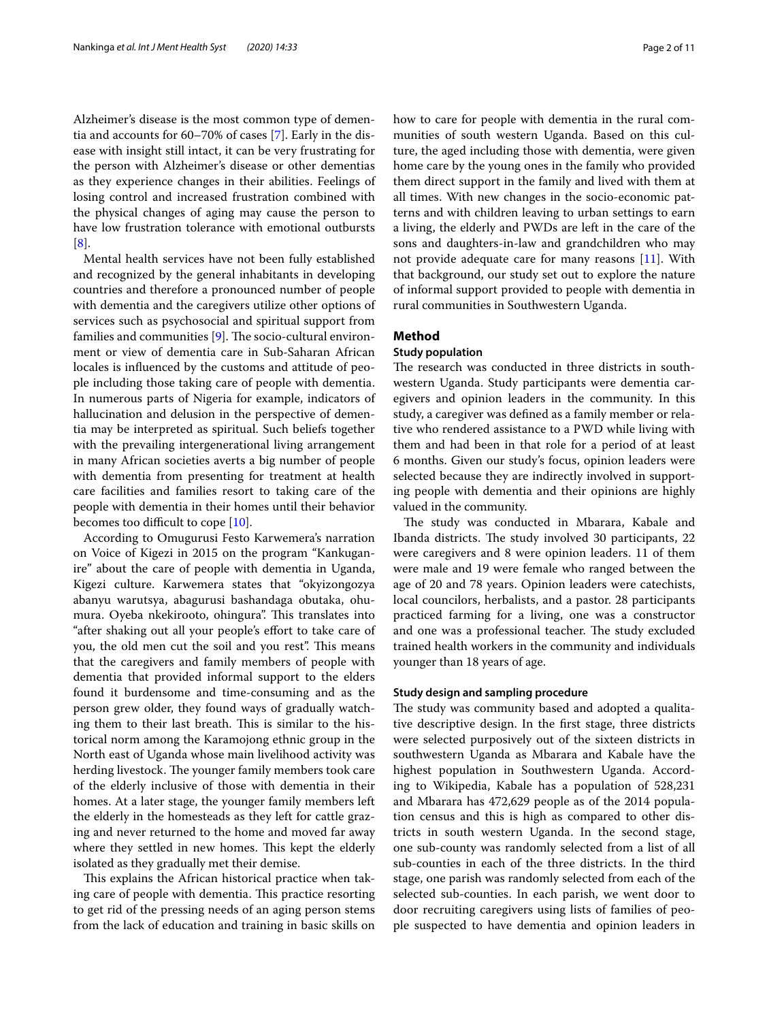Alzheimer's disease is the most common type of dementia and accounts for 60–70% of cases [[7\]](#page-10-6). Early in the disease with insight still intact, it can be very frustrating for the person with Alzheimer's disease or other dementias as they experience changes in their abilities. Feelings of losing control and increased frustration combined with the physical changes of aging may cause the person to have low frustration tolerance with emotional outbursts [[8\]](#page-10-7).

Mental health services have not been fully established and recognized by the general inhabitants in developing countries and therefore a pronounced number of people with dementia and the caregivers utilize other options of services such as psychosocial and spiritual support from families and communities  $[9]$  $[9]$ . The socio-cultural environment or view of dementia care in Sub-Saharan African locales is infuenced by the customs and attitude of people including those taking care of people with dementia. In numerous parts of Nigeria for example, indicators of hallucination and delusion in the perspective of dementia may be interpreted as spiritual. Such beliefs together with the prevailing intergenerational living arrangement in many African societies averts a big number of people with dementia from presenting for treatment at health care facilities and families resort to taking care of the people with dementia in their homes until their behavior becomes too difficult to cope  $[10]$  $[10]$ .

According to Omugurusi Festo Karwemera's narration on Voice of Kigezi in 2015 on the program "Kankuganire" about the care of people with dementia in Uganda, Kigezi culture. Karwemera states that "okyizongozya abanyu warutsya, abagurusi bashandaga obutaka, ohumura. Oyeba nkekirooto, ohingura". This translates into "after shaking out all your people's efort to take care of you, the old men cut the soil and you rest". This means that the caregivers and family members of people with dementia that provided informal support to the elders found it burdensome and time-consuming and as the person grew older, they found ways of gradually watching them to their last breath. This is similar to the historical norm among the Karamojong ethnic group in the North east of Uganda whose main livelihood activity was herding livestock. The younger family members took care of the elderly inclusive of those with dementia in their homes. At a later stage, the younger family members left the elderly in the homesteads as they left for cattle grazing and never returned to the home and moved far away where they settled in new homes. This kept the elderly isolated as they gradually met their demise.

This explains the African historical practice when taking care of people with dementia. This practice resorting to get rid of the pressing needs of an aging person stems from the lack of education and training in basic skills on how to care for people with dementia in the rural communities of south western Uganda. Based on this culture, the aged including those with dementia, were given home care by the young ones in the family who provided them direct support in the family and lived with them at

all times. With new changes in the socio-economic patterns and with children leaving to urban settings to earn a living, the elderly and PWDs are left in the care of the sons and daughters-in-law and grandchildren who may not provide adequate care for many reasons [[11\]](#page-10-10). With that background, our study set out to explore the nature of informal support provided to people with dementia in rural communities in Southwestern Uganda.

## **Method**

## **Study population**

The research was conducted in three districts in southwestern Uganda. Study participants were dementia caregivers and opinion leaders in the community. In this study, a caregiver was defned as a family member or relative who rendered assistance to a PWD while living with them and had been in that role for a period of at least 6 months. Given our study's focus, opinion leaders were selected because they are indirectly involved in supporting people with dementia and their opinions are highly valued in the community.

The study was conducted in Mbarara, Kabale and Ibanda districts. The study involved 30 participants, 22 were caregivers and 8 were opinion leaders. 11 of them were male and 19 were female who ranged between the age of 20 and 78 years. Opinion leaders were catechists, local councilors, herbalists, and a pastor. 28 participants practiced farming for a living, one was a constructor and one was a professional teacher. The study excluded trained health workers in the community and individuals younger than 18 years of age.

## **Study design and sampling procedure**

The study was community based and adopted a qualitative descriptive design. In the frst stage, three districts were selected purposively out of the sixteen districts in southwestern Uganda as Mbarara and Kabale have the highest population in Southwestern Uganda. According to Wikipedia, Kabale has a population of 528,231 and Mbarara has 472,629 people as of the 2014 population census and this is high as compared to other districts in south western Uganda. In the second stage, one sub-county was randomly selected from a list of all sub-counties in each of the three districts. In the third stage, one parish was randomly selected from each of the selected sub-counties. In each parish, we went door to door recruiting caregivers using lists of families of people suspected to have dementia and opinion leaders in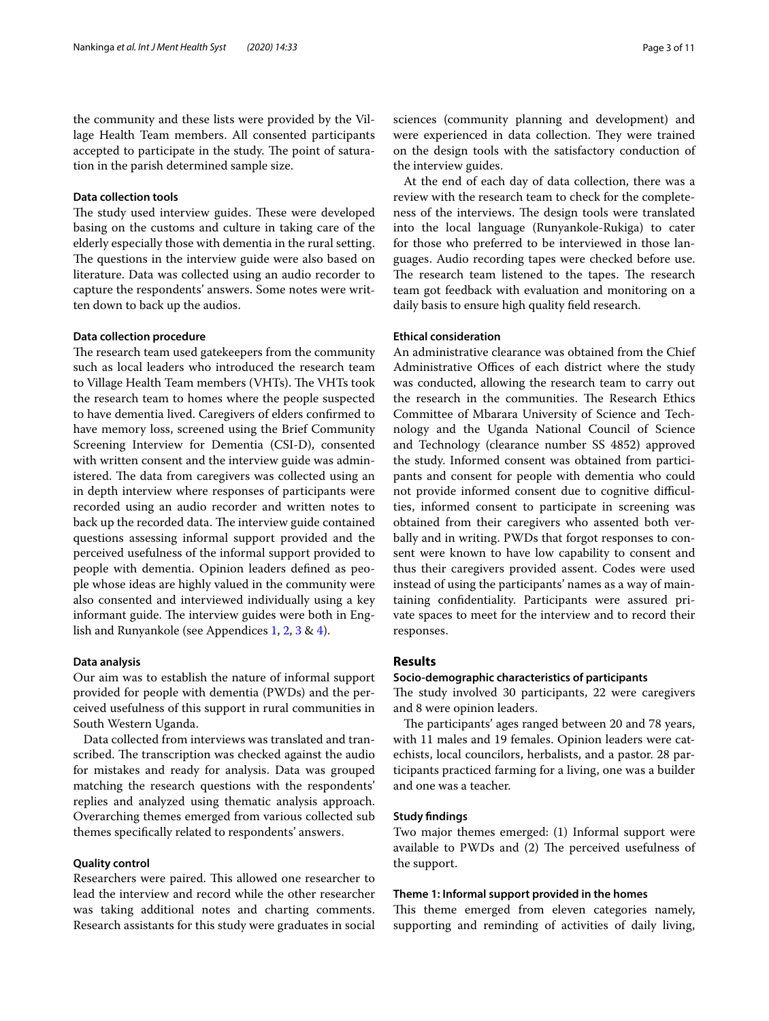the community and these lists were provided by the Village Health Team members. All consented participants accepted to participate in the study. The point of saturation in the parish determined sample size.

## **Data collection tools**

The study used interview guides. These were developed basing on the customs and culture in taking care of the elderly especially those with dementia in the rural setting. The questions in the interview guide were also based on literature. Data was collected using an audio recorder to capture the respondents' answers. Some notes were written down to back up the audios.

## **Data collection procedure**

The research team used gatekeepers from the community such as local leaders who introduced the research team to Village Health Team members (VHTs). The VHTs took the research team to homes where the people suspected to have dementia lived. Caregivers of elders confrmed to have memory loss, screened using the Brief Community Screening Interview for Dementia (CSI-D), consented with written consent and the interview guide was administered. The data from caregivers was collected using an in depth interview where responses of participants were recorded using an audio recorder and written notes to back up the recorded data. The interview guide contained questions assessing informal support provided and the perceived usefulness of the informal support provided to people with dementia. Opinion leaders defned as people whose ideas are highly valued in the community were also consented and interviewed individually using a key informant guide. The interview guides were both in English and Runyankole (see Appendices [1,](#page-8-0) [2](#page-8-1), [3](#page-9-0) & [4](#page-9-1)).

## **Data analysis**

Our aim was to establish the nature of informal support provided for people with dementia (PWDs) and the perceived usefulness of this support in rural communities in South Western Uganda.

Data collected from interviews was translated and transcribed. The transcription was checked against the audio for mistakes and ready for analysis. Data was grouped matching the research questions with the respondents' replies and analyzed using thematic analysis approach. Overarching themes emerged from various collected sub themes specifcally related to respondents' answers.

## **Quality control**

Researchers were paired. This allowed one researcher to lead the interview and record while the other researcher was taking additional notes and charting comments. Research assistants for this study were graduates in social sciences (community planning and development) and were experienced in data collection. They were trained on the design tools with the satisfactory conduction of the interview guides.

At the end of each day of data collection, there was a review with the research team to check for the completeness of the interviews. The design tools were translated into the local language (Runyankole-Rukiga) to cater for those who preferred to be interviewed in those languages. Audio recording tapes were checked before use. The research team listened to the tapes. The research team got feedback with evaluation and monitoring on a daily basis to ensure high quality feld research.

## **Ethical consideration**

An administrative clearance was obtained from the Chief Administrative Offices of each district where the study was conducted, allowing the research team to carry out the research in the communities. The Research Ethics Committee of Mbarara University of Science and Technology and the Uganda National Council of Science and Technology (clearance number SS 4852) approved the study. Informed consent was obtained from participants and consent for people with dementia who could not provide informed consent due to cognitive difficulties, informed consent to participate in screening was obtained from their caregivers who assented both verbally and in writing. PWDs that forgot responses to consent were known to have low capability to consent and thus their caregivers provided assent. Codes were used instead of using the participants' names as a way of maintaining confdentiality. Participants were assured private spaces to meet for the interview and to record their responses.

## **Results**

## **Socio‑demographic characteristics of participants**

The study involved 30 participants, 22 were caregivers and 8 were opinion leaders.

The participants' ages ranged between 20 and 78 years, with 11 males and 19 females. Opinion leaders were catechists, local councilors, herbalists, and a pastor. 28 participants practiced farming for a living, one was a builder and one was a teacher.

## **Study fndings**

Two major themes emerged: (1) Informal support were available to  $PWDs$  and  $(2)$  The perceived usefulness of the support.

## **Theme 1: Informal support provided in the homes**

This theme emerged from eleven categories namely, supporting and reminding of activities of daily living,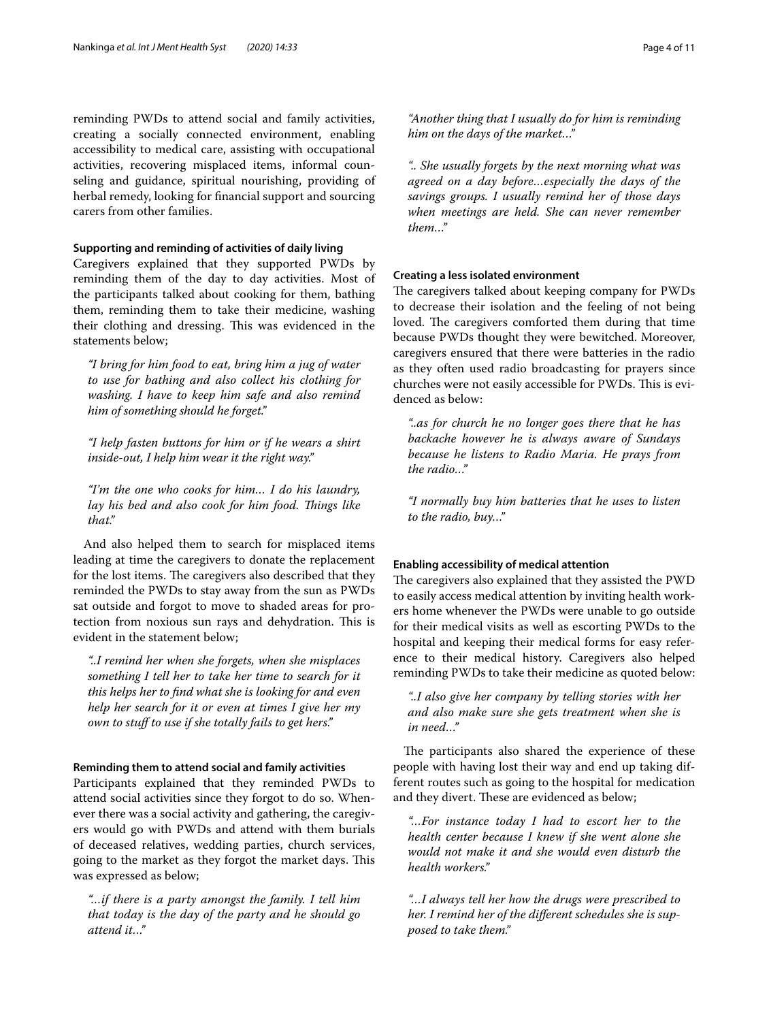reminding PWDs to attend social and family activities, creating a socially connected environment, enabling accessibility to medical care, assisting with occupational activities, recovering misplaced items, informal counseling and guidance, spiritual nourishing, providing of herbal remedy, looking for fnancial support and sourcing carers from other families.

## **Supporting and reminding of activities of daily living**

Caregivers explained that they supported PWDs by reminding them of the day to day activities. Most of the participants talked about cooking for them, bathing them, reminding them to take their medicine, washing their clothing and dressing. This was evidenced in the statements below;

*"I bring for him food to eat, bring him a jug of water to use for bathing and also collect his clothing for washing. I have to keep him safe and also remind him of something should he forget."*

*"I help fasten buttons for him or if he wears a shirt inside-out, I help him wear it the right way."*

*"I'm the one who cooks for him… I do his laundry,*  lay his bed and also cook for him food. Things like *that."*

And also helped them to search for misplaced items leading at time the caregivers to donate the replacement for the lost items. The caregivers also described that they reminded the PWDs to stay away from the sun as PWDs sat outside and forgot to move to shaded areas for protection from noxious sun rays and dehydration. This is evident in the statement below;

*"..I remind her when she forgets, when she misplaces something I tell her to take her time to search for it this helps her to fnd what she is looking for and even help her search for it or even at times I give her my own to stuf to use if she totally fails to get hers."*

## **Reminding them to attend social and family activities**

Participants explained that they reminded PWDs to attend social activities since they forgot to do so. Whenever there was a social activity and gathering, the caregivers would go with PWDs and attend with them burials of deceased relatives, wedding parties, church services, going to the market as they forgot the market days. This was expressed as below;

*"…if there is a party amongst the family. I tell him that today is the day of the party and he should go attend it…"*

*"Another thing that I usually do for him is reminding him on the days of the market…"*

*".. She usually forgets by the next morning what was agreed on a day before…especially the days of the savings groups. I usually remind her of those days when meetings are held. She can never remember them…"*

## **Creating a less isolated environment**

The caregivers talked about keeping company for PWDs to decrease their isolation and the feeling of not being loved. The caregivers comforted them during that time because PWDs thought they were bewitched. Moreover, caregivers ensured that there were batteries in the radio as they often used radio broadcasting for prayers since churches were not easily accessible for PWDs. This is evidenced as below:

*"..as for church he no longer goes there that he has backache however he is always aware of Sundays because he listens to Radio Maria. He prays from the radio…"*

*"I normally buy him batteries that he uses to listen to the radio, buy…"*

## **Enabling accessibility of medical attention**

The caregivers also explained that they assisted the PWD to easily access medical attention by inviting health workers home whenever the PWDs were unable to go outside for their medical visits as well as escorting PWDs to the hospital and keeping their medical forms for easy reference to their medical history. Caregivers also helped reminding PWDs to take their medicine as quoted below:

*"..I also give her company by telling stories with her and also make sure she gets treatment when she is in need…"*

The participants also shared the experience of these people with having lost their way and end up taking different routes such as going to the hospital for medication and they divert. These are evidenced as below;

*"…For instance today I had to escort her to the health center because I knew if she went alone she would not make it and she would even disturb the health workers."*

*"…I always tell her how the drugs were prescribed to her. I remind her of the diferent schedules she is supposed to take them."*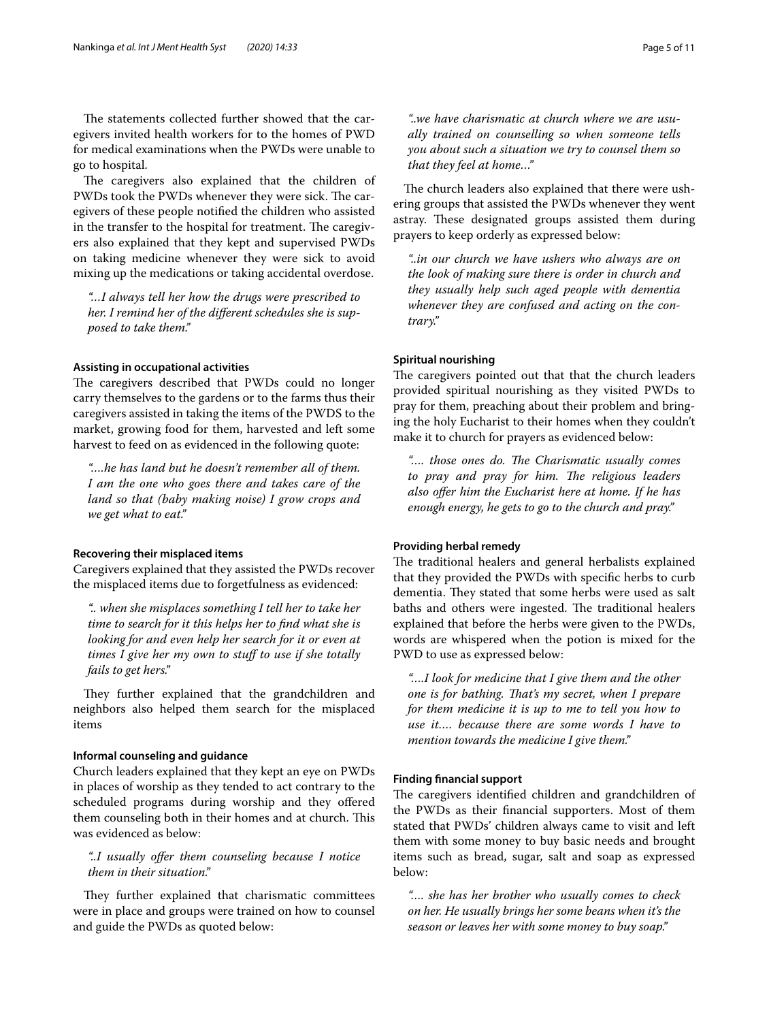The statements collected further showed that the caregivers invited health workers for to the homes of PWD for medical examinations when the PWDs were unable to go to hospital.

The caregivers also explained that the children of PWDs took the PWDs whenever they were sick. The caregivers of these people notifed the children who assisted in the transfer to the hospital for treatment. The caregivers also explained that they kept and supervised PWDs on taking medicine whenever they were sick to avoid mixing up the medications or taking accidental overdose.

*"…I always tell her how the drugs were prescribed to her. I remind her of the diferent schedules she is supposed to take them."*

#### **Assisting in occupational activities**

The caregivers described that PWDs could no longer carry themselves to the gardens or to the farms thus their caregivers assisted in taking the items of the PWDS to the market, growing food for them, harvested and left some harvest to feed on as evidenced in the following quote:

*"….he has land but he doesn't remember all of them. I am the one who goes there and takes care of the land so that (baby making noise) I grow crops and we get what to eat."*

#### **Recovering their misplaced items**

Caregivers explained that they assisted the PWDs recover the misplaced items due to forgetfulness as evidenced:

*".. when she misplaces something I tell her to take her time to search for it this helps her to fnd what she is looking for and even help her search for it or even at times I give her my own to stuf to use if she totally fails to get hers."*

They further explained that the grandchildren and neighbors also helped them search for the misplaced items

## **Informal counseling and guidance**

Church leaders explained that they kept an eye on PWDs in places of worship as they tended to act contrary to the scheduled programs during worship and they offered them counseling both in their homes and at church. This was evidenced as below:

## *"..I usually ofer them counseling because I notice them in their situation."*

They further explained that charismatic committees were in place and groups were trained on how to counsel and guide the PWDs as quoted below:

*"..we have charismatic at church where we are usually trained on counselling so when someone tells you about such a situation we try to counsel them so that they feel at home…"*

The church leaders also explained that there were ushering groups that assisted the PWDs whenever they went astray. These designated groups assisted them during prayers to keep orderly as expressed below:

*"..in our church we have ushers who always are on the look of making sure there is order in church and they usually help such aged people with dementia whenever they are confused and acting on the contrary."*

## **Spiritual nourishing**

The caregivers pointed out that that the church leaders provided spiritual nourishing as they visited PWDs to pray for them, preaching about their problem and bringing the holy Eucharist to their homes when they couldn't make it to church for prayers as evidenced below:

".... those ones do. The Charismatic usually comes to pray and pray for him. The religious leaders *also ofer him the Eucharist here at home. If he has enough energy, he gets to go to the church and pray."*

## **Providing herbal remedy**

The traditional healers and general herbalists explained that they provided the PWDs with specifc herbs to curb dementia. They stated that some herbs were used as salt baths and others were ingested. The traditional healers explained that before the herbs were given to the PWDs, words are whispered when the potion is mixed for the PWD to use as expressed below:

*"….I look for medicine that I give them and the other one is for bathing. That's my secret, when I prepare for them medicine it is up to me to tell you how to use it…. because there are some words I have to mention towards the medicine I give them."*

## **Finding fnancial support**

The caregivers identified children and grandchildren of the PWDs as their fnancial supporters. Most of them stated that PWDs' children always came to visit and left them with some money to buy basic needs and brought items such as bread, sugar, salt and soap as expressed below:

*"…. she has her brother who usually comes to check on her. He usually brings her some beans when it's the season or leaves her with some money to buy soap."*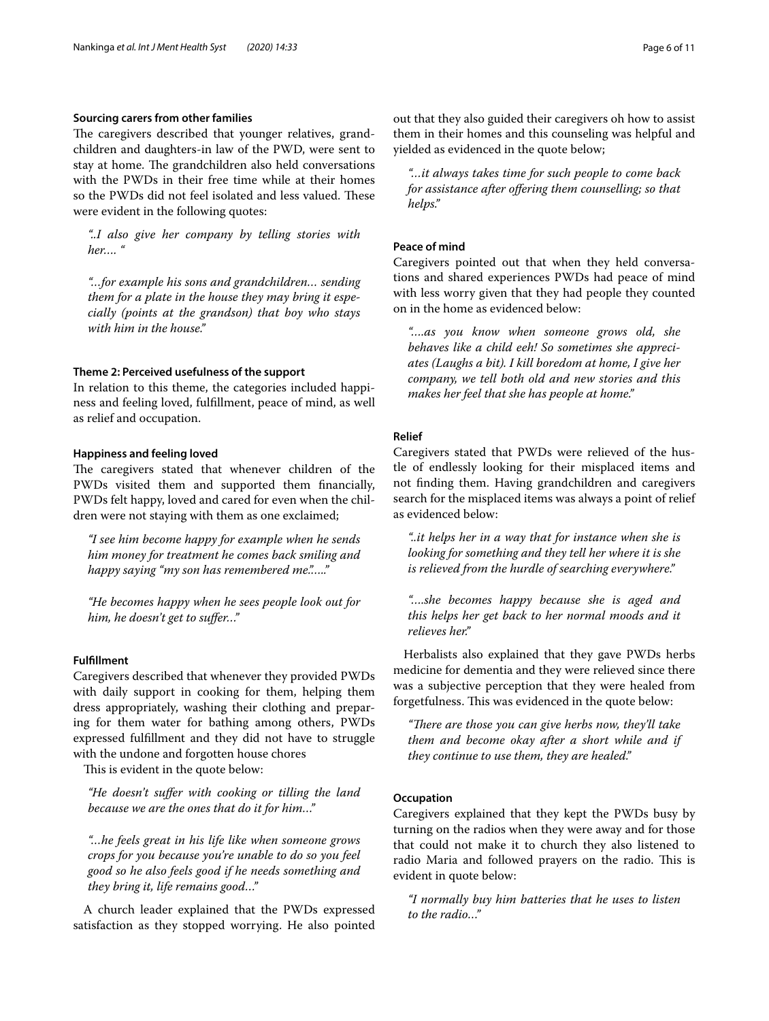## **Sourcing carers from other families**

The caregivers described that younger relatives, grandchildren and daughters-in law of the PWD, were sent to stay at home. The grandchildren also held conversations with the PWDs in their free time while at their homes so the PWDs did not feel isolated and less valued. These were evident in the following quotes:

*"..I also give her company by telling stories with her…. "*

*"…for example his sons and grandchildren… sending them for a plate in the house they may bring it especially (points at the grandson) that boy who stays with him in the house."*

## **Theme 2: Perceived usefulness of the support**

In relation to this theme, the categories included happiness and feeling loved, fulfllment, peace of mind, as well as relief and occupation.

## **Happiness and feeling loved**

The caregivers stated that whenever children of the PWDs visited them and supported them fnancially, PWDs felt happy, loved and cared for even when the children were not staying with them as one exclaimed;

*"I see him become happy for example when he sends him money for treatment he comes back smiling and happy saying "my son has remembered me."….."*

*"He becomes happy when he sees people look out for him, he doesn't get to sufer…"*

## **Fulfllment**

Caregivers described that whenever they provided PWDs with daily support in cooking for them, helping them dress appropriately, washing their clothing and preparing for them water for bathing among others, PWDs expressed fulfllment and they did not have to struggle with the undone and forgotten house chores

This is evident in the quote below:

*"He doesn't sufer with cooking or tilling the land because we are the ones that do it for him…"*

*"…he feels great in his life like when someone grows crops for you because you're unable to do so you feel good so he also feels good if he needs something and they bring it, life remains good…"*

A church leader explained that the PWDs expressed satisfaction as they stopped worrying. He also pointed out that they also guided their caregivers oh how to assist them in their homes and this counseling was helpful and yielded as evidenced in the quote below;

*"…it always takes time for such people to come back for assistance after ofering them counselling; so that helps."*

## **Peace of mind**

Caregivers pointed out that when they held conversations and shared experiences PWDs had peace of mind with less worry given that they had people they counted on in the home as evidenced below:

*"….as you know when someone grows old, she behaves like a child eeh! So sometimes she appreciates (Laughs a bit). I kill boredom at home, I give her company, we tell both old and new stories and this makes her feel that she has people at home."*

## **Relief**

Caregivers stated that PWDs were relieved of the hustle of endlessly looking for their misplaced items and not fnding them. Having grandchildren and caregivers search for the misplaced items was always a point of relief as evidenced below:

*"..it helps her in a way that for instance when she is looking for something and they tell her where it is she is relieved from the hurdle of searching everywhere."*

*"….she becomes happy because she is aged and this helps her get back to her normal moods and it relieves her."*

Herbalists also explained that they gave PWDs herbs medicine for dementia and they were relieved since there was a subjective perception that they were healed from forgetfulness. This was evidenced in the quote below:

"There are those you can give herbs now, they'll take *them and become okay after a short while and if they continue to use them, they are healed."*

## **Occupation**

Caregivers explained that they kept the PWDs busy by turning on the radios when they were away and for those that could not make it to church they also listened to radio Maria and followed prayers on the radio. This is evident in quote below:

*"I normally buy him batteries that he uses to listen to the radio…"*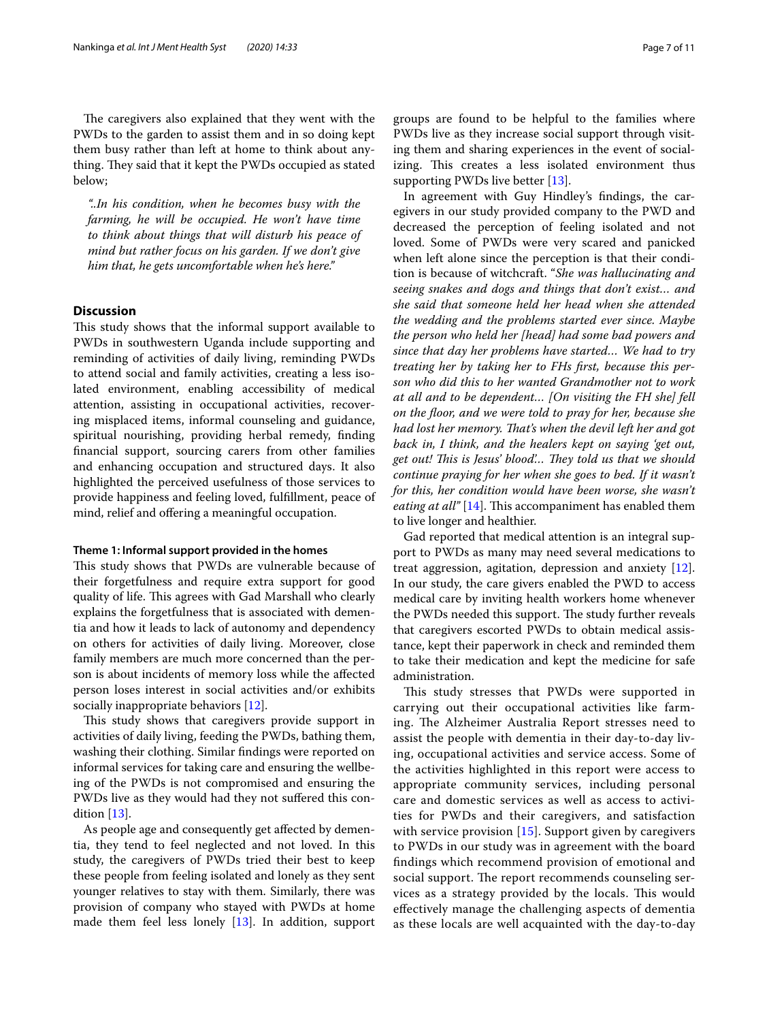*"..In his condition, when he becomes busy with the farming, he will be occupied. He won't have time to think about things that will disturb his peace of mind but rather focus on his garden. If we don't give him that, he gets uncomfortable when he's here."*

## **Discussion**

This study shows that the informal support available to PWDs in southwestern Uganda include supporting and reminding of activities of daily living, reminding PWDs to attend social and family activities, creating a less isolated environment, enabling accessibility of medical attention, assisting in occupational activities, recovering misplaced items, informal counseling and guidance, spiritual nourishing, providing herbal remedy, fnding fnancial support, sourcing carers from other families and enhancing occupation and structured days. It also highlighted the perceived usefulness of those services to provide happiness and feeling loved, fulfllment, peace of mind, relief and offering a meaningful occupation.

#### **Theme 1: Informal support provided in the homes**

This study shows that PWDs are vulnerable because of their forgetfulness and require extra support for good quality of life. This agrees with Gad Marshall who clearly explains the forgetfulness that is associated with dementia and how it leads to lack of autonomy and dependency on others for activities of daily living. Moreover, close family members are much more concerned than the person is about incidents of memory loss while the afected person loses interest in social activities and/or exhibits socially inappropriate behaviors [\[12](#page-10-11)].

This study shows that caregivers provide support in activities of daily living, feeding the PWDs, bathing them, washing their clothing. Similar fndings were reported on informal services for taking care and ensuring the wellbeing of the PWDs is not compromised and ensuring the PWDs live as they would had they not sufered this condition [[13](#page-10-12)].

As people age and consequently get afected by dementia, they tend to feel neglected and not loved. In this study, the caregivers of PWDs tried their best to keep these people from feeling isolated and lonely as they sent younger relatives to stay with them. Similarly, there was provision of company who stayed with PWDs at home made them feel less lonely [[13\]](#page-10-12). In addition, support groups are found to be helpful to the families where PWDs live as they increase social support through visiting them and sharing experiences in the event of socializing. This creates a less isolated environment thus supporting PWDs live better [\[13](#page-10-12)].

In agreement with Guy Hindley's fndings, the caregivers in our study provided company to the PWD and decreased the perception of feeling isolated and not loved. Some of PWDs were very scared and panicked when left alone since the perception is that their condition is because of witchcraft. "*She was hallucinating and seeing snakes and dogs and things that don't exist… and she said that someone held her head when she attended the wedding and the problems started ever since. Maybe the person who held her [head] had some bad powers and since that day her problems have started… We had to try treating her by taking her to FHs frst, because this person who did this to her wanted Grandmother not to work at all and to be dependent… [On visiting the FH she] fell on the foor, and we were told to pray for her, because she*  had lost her memory. That's when the devil left her and got *back in, I think, and the healers kept on saying 'get out, get out! This is Jesus' blood'... They told us that we should continue praying for her when she goes to bed. If it wasn't for this, her condition would have been worse, she wasn't eating at all"* [[14\]](#page-10-13). This accompaniment has enabled them to live longer and healthier.

Gad reported that medical attention is an integral support to PWDs as many may need several medications to treat aggression, agitation, depression and anxiety [\[12](#page-10-11)]. In our study, the care givers enabled the PWD to access medical care by inviting health workers home whenever the PWDs needed this support. The study further reveals that caregivers escorted PWDs to obtain medical assistance, kept their paperwork in check and reminded them to take their medication and kept the medicine for safe administration.

This study stresses that PWDs were supported in carrying out their occupational activities like farming. The Alzheimer Australia Report stresses need to assist the people with dementia in their day-to-day living, occupational activities and service access. Some of the activities highlighted in this report were access to appropriate community services, including personal care and domestic services as well as access to activities for PWDs and their caregivers, and satisfaction with service provision [[15\]](#page-10-14). Support given by caregivers to PWDs in our study was in agreement with the board fndings which recommend provision of emotional and social support. The report recommends counseling services as a strategy provided by the locals. This would efectively manage the challenging aspects of dementia as these locals are well acquainted with the day-to-day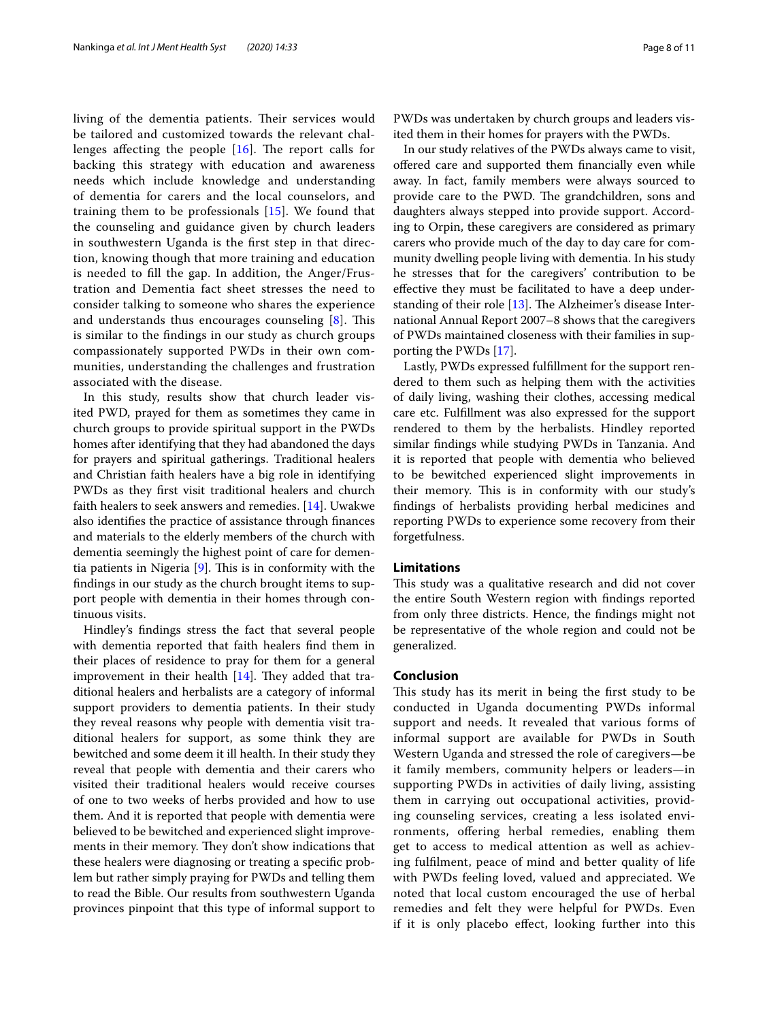living of the dementia patients. Their services would be tailored and customized towards the relevant challenges affecting the people  $[16]$  $[16]$  $[16]$ . The report calls for backing this strategy with education and awareness needs which include knowledge and understanding of dementia for carers and the local counselors, and training them to be professionals [[15](#page-10-14)]. We found that the counseling and guidance given by church leaders in southwestern Uganda is the frst step in that direction, knowing though that more training and education is needed to fll the gap. In addition, the Anger/Frustration and Dementia fact sheet stresses the need to consider talking to someone who shares the experience and understands thus encourages counseling  $[8]$  $[8]$ . This is similar to the fndings in our study as church groups compassionately supported PWDs in their own communities, understanding the challenges and frustration associated with the disease.

In this study, results show that church leader visited PWD, prayed for them as sometimes they came in church groups to provide spiritual support in the PWDs homes after identifying that they had abandoned the days for prayers and spiritual gatherings. Traditional healers and Christian faith healers have a big role in identifying PWDs as they frst visit traditional healers and church faith healers to seek answers and remedies. [[14\]](#page-10-13). Uwakwe also identifes the practice of assistance through fnances and materials to the elderly members of the church with dementia seemingly the highest point of care for dementia patients in Nigeria  $[9]$  $[9]$ . This is in conformity with the fndings in our study as the church brought items to support people with dementia in their homes through continuous visits.

Hindley's fndings stress the fact that several people with dementia reported that faith healers fnd them in their places of residence to pray for them for a general improvement in their health  $[14]$  $[14]$  $[14]$ . They added that traditional healers and herbalists are a category of informal support providers to dementia patients. In their study they reveal reasons why people with dementia visit traditional healers for support, as some think they are bewitched and some deem it ill health. In their study they reveal that people with dementia and their carers who visited their traditional healers would receive courses of one to two weeks of herbs provided and how to use them. And it is reported that people with dementia were believed to be bewitched and experienced slight improvements in their memory. They don't show indications that these healers were diagnosing or treating a specifc problem but rather simply praying for PWDs and telling them to read the Bible. Our results from southwestern Uganda provinces pinpoint that this type of informal support to PWDs was undertaken by church groups and leaders visited them in their homes for prayers with the PWDs.

In our study relatives of the PWDs always came to visit, ofered care and supported them fnancially even while away. In fact, family members were always sourced to provide care to the PWD. The grandchildren, sons and daughters always stepped into provide support. According to Orpin, these caregivers are considered as primary carers who provide much of the day to day care for community dwelling people living with dementia. In his study he stresses that for the caregivers' contribution to be efective they must be facilitated to have a deep understanding of their role  $[13]$  $[13]$ . The Alzheimer's disease International Annual Report 2007–8 shows that the caregivers of PWDs maintained closeness with their families in supporting the PWDs [\[17\]](#page-10-16).

Lastly, PWDs expressed fulfllment for the support rendered to them such as helping them with the activities of daily living, washing their clothes, accessing medical care etc. Fulfllment was also expressed for the support rendered to them by the herbalists. Hindley reported similar fndings while studying PWDs in Tanzania. And it is reported that people with dementia who believed to be bewitched experienced slight improvements in their memory. This is in conformity with our study's fndings of herbalists providing herbal medicines and reporting PWDs to experience some recovery from their forgetfulness.

## **Limitations**

This study was a qualitative research and did not cover the entire South Western region with fndings reported from only three districts. Hence, the fndings might not be representative of the whole region and could not be generalized.

## **Conclusion**

This study has its merit in being the first study to be conducted in Uganda documenting PWDs informal support and needs. It revealed that various forms of informal support are available for PWDs in South Western Uganda and stressed the role of caregivers—be it family members, community helpers or leaders—in supporting PWDs in activities of daily living, assisting them in carrying out occupational activities, providing counseling services, creating a less isolated environments, offering herbal remedies, enabling them get to access to medical attention as well as achieving fulflment, peace of mind and better quality of life with PWDs feeling loved, valued and appreciated. We noted that local custom encouraged the use of herbal remedies and felt they were helpful for PWDs. Even if it is only placebo efect, looking further into this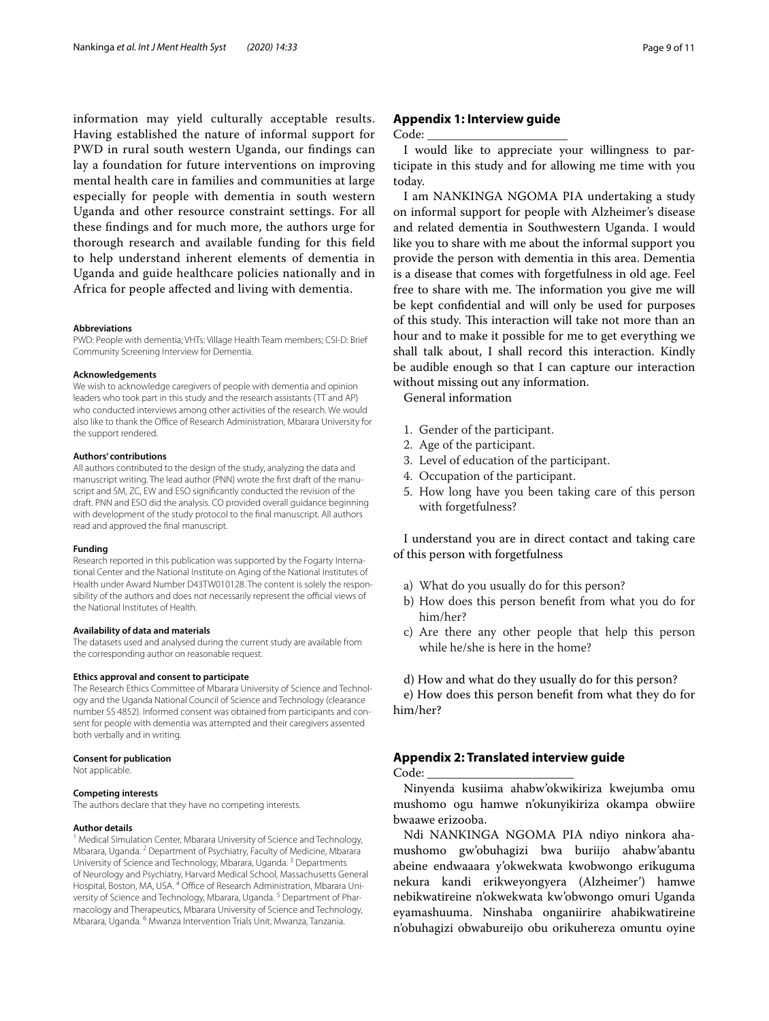information may yield culturally acceptable results. Having established the nature of informal support for PWD in rural south western Uganda, our fndings can lay a foundation for future interventions on improving mental health care in families and communities at large especially for people with dementia in south western Uganda and other resource constraint settings. For all these fndings and for much more, the authors urge for thorough research and available funding for this feld to help understand inherent elements of dementia in Uganda and guide healthcare policies nationally and in Africa for people afected and living with dementia.

#### **Abbreviations**

PWD: People with dementia; VHTs: Village Health Team members; CSI-D: Brief Community Screening Interview for Dementia.

#### **Acknowledgements**

We wish to acknowledge caregivers of people with dementia and opinion leaders who took part in this study and the research assistants (TT and AP) who conducted interviews among other activities of the research. We would also like to thank the Office of Research Administration, Mbarara University for the support rendered.

#### **Authors' contributions**

All authors contributed to the design of the study, analyzing the data and manuscript writing. The lead author (PNN) wrote the frst draft of the manuscript and SM, ZC, EW and ESO signifcantly conducted the revision of the draft. PNN and ESO did the analysis. CO provided overall guidance beginning with development of the study protocol to the fnal manuscript. All authors read and approved the fnal manuscript.

#### **Funding**

Research reported in this publication was supported by the Fogarty International Center and the National Institute on Aging of the National Institutes of Health under Award Number D43TW010128. The content is solely the responsibility of the authors and does not necessarily represent the official views of the National Institutes of Health.

## **Availability of data and materials**

The datasets used and analysed during the current study are available from the corresponding author on reasonable request.

#### **Ethics approval and consent to participate**

The Research Ethics Committee of Mbarara University of Science and Technology and the Uganda National Council of Science and Technology (clearance number SS 4852). Informed consent was obtained from participants and consent for people with dementia was attempted and their caregivers assented both verbally and in writing.

#### **Consent for publication**

Not applicable.

## **Competing interests**

The authors declare that they have no competing interests.

#### **Author details**

<sup>1</sup> Medical Simulation Center, Mbarara University of Science and Technology, Mbarara, Uganda. 2 Department of Psychiatry, Faculty of Medicine, Mbarara University of Science and Technology, Mbarara, Uganda. 3 Departments of Neurology and Psychiatry, Harvard Medical School, Massachusetts General Hospital, Boston, MA, USA. <sup>4</sup> Office of Research Administration, Mbarara University of Science and Technology, Mbarara, Uganda.<sup>5</sup> Department of Pharmacology and Therapeutics, Mbarara University of Science and Technology, Mbarara, Uganda. 6 Mwanza Intervention Trials Unit, Mwanza, Tanzania.

## <span id="page-8-0"></span>**Appendix 1: Interview guide**

#### Code:

I would like to appreciate your willingness to participate in this study and for allowing me time with you today.

I am NANKINGA NGOMA PIA undertaking a study on informal support for people with Alzheimer's disease and related dementia in Southwestern Uganda. I would like you to share with me about the informal support you provide the person with dementia in this area. Dementia is a disease that comes with forgetfulness in old age. Feel free to share with me. The information you give me will be kept confdential and will only be used for purposes of this study. This interaction will take not more than an hour and to make it possible for me to get everything we shall talk about, I shall record this interaction. Kindly be audible enough so that I can capture our interaction without missing out any information.

General information

- 1. Gender of the participant.
- 2. Age of the participant.
- 3. Level of education of the participant.
- 4. Occupation of the participant.
- 5. How long have you been taking care of this person with forgetfulness?

I understand you are in direct contact and taking care of this person with forgetfulness

- a) What do you usually do for this person?
- b) How does this person beneft from what you do for him/her?
- c) Are there any other people that help this person while he/she is here in the home?
- d) How and what do they usually do for this person?

e) How does this person beneft from what they do for him/her?

## <span id="page-8-1"></span>**Appendix 2: Translated interview guide**

Ninyenda kusiima ahabw'okwikiriza kwejumba omu mushomo ogu hamwe n'okunyikiriza okampa obwiire bwaawe erizooba.

Ndi NANKINGA NGOMA PIA ndiyo ninkora ahamushomo gw'obuhagizi bwa buriijo ahabw'abantu abeine endwaaara y'okwekwata kwobwongo erikuguma nekura kandi erikweyongyera (Alzheimer') hamwe nebikwatireine n'okwekwata kw'obwongo omuri Uganda eyamashuuma. Ninshaba onganiirire ahabikwatireine n'obuhagizi obwabureijo obu orikuhereza omuntu oyine

Code: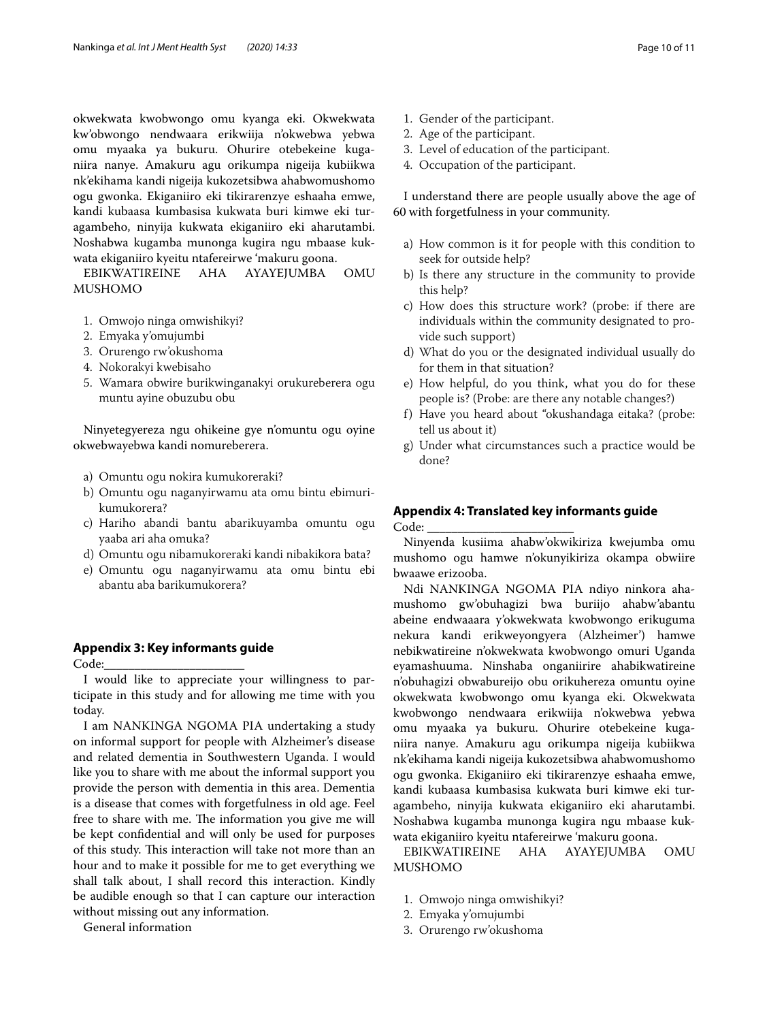okwekwata kwobwongo omu kyanga eki. Okwekwata kw'obwongo nendwaara erikwiija n'okwebwa yebwa omu myaaka ya bukuru. Ohurire otebekeine kuganiira nanye. Amakuru agu orikumpa nigeija kubiikwa nk'ekihama kandi nigeija kukozetsibwa ahabwomushomo ogu gwonka. Ekiganiiro eki tikirarenzye eshaaha emwe, kandi kubaasa kumbasisa kukwata buri kimwe eki turagambeho, ninyija kukwata ekiganiiro eki aharutambi. Noshabwa kugamba munonga kugira ngu mbaase kukwata ekiganiiro kyeitu ntafereirwe 'makuru goona.

EBIKWATIREINE AHA AYAYEJUMBA OMU MUSHOMO

- 1. Omwojo ninga omwishikyi?
- 2. Emyaka y'omujumbi
- 3. Orurengo rw'okushoma
- 4. Nokorakyi kwebisaho
- 5. Wamara obwire burikwinganakyi orukureberera ogu muntu ayine obuzubu obu

Ninyetegyereza ngu ohikeine gye n'omuntu ogu oyine okwebwayebwa kandi nomureberera.

- a) Omuntu ogu nokira kumukoreraki?
- b) Omuntu ogu naganyirwamu ata omu bintu ebimurikumukorera?
- c) Hariho abandi bantu abarikuyamba omuntu ogu yaaba ari aha omuka?
- d) Omuntu ogu nibamukoreraki kandi nibakikora bata?
- e) Omuntu ogu naganyirwamu ata omu bintu ebi abantu aba barikumukorera?

## <span id="page-9-0"></span>**Appendix 3: Key informants guide**

Code:

I would like to appreciate your willingness to participate in this study and for allowing me time with you today.

I am NANKINGA NGOMA PIA undertaking a study on informal support for people with Alzheimer's disease and related dementia in Southwestern Uganda. I would like you to share with me about the informal support you provide the person with dementia in this area. Dementia is a disease that comes with forgetfulness in old age. Feel free to share with me. The information you give me will be kept confdential and will only be used for purposes of this study. This interaction will take not more than an hour and to make it possible for me to get everything we shall talk about, I shall record this interaction. Kindly be audible enough so that I can capture our interaction without missing out any information.

General information

- 1. Gender of the participant.
- 2. Age of the participant.
- 3. Level of education of the participant.
- 4. Occupation of the participant.

I understand there are people usually above the age of 60 with forgetfulness in your community.

- a) How common is it for people with this condition to seek for outside help?
- b) Is there any structure in the community to provide this help?
- c) How does this structure work? (probe: if there are individuals within the community designated to provide such support)
- d) What do you or the designated individual usually do for them in that situation?
- e) How helpful, do you think, what you do for these people is? (Probe: are there any notable changes?)
- f) Have you heard about "okushandaga eitaka? (probe: tell us about it)
- g) Under what circumstances such a practice would be done?

## <span id="page-9-1"></span>**Appendix 4: Translated key informants guide** Code:

Ninyenda kusiima ahabw'okwikiriza kwejumba omu mushomo ogu hamwe n'okunyikiriza okampa obwiire bwaawe erizooba.

Ndi NANKINGA NGOMA PIA ndiyo ninkora ahamushomo gw'obuhagizi bwa buriijo ahabw'abantu abeine endwaaara y'okwekwata kwobwongo erikuguma nekura kandi erikweyongyera (Alzheimer') hamwe nebikwatireine n'okwekwata kwobwongo omuri Uganda eyamashuuma. Ninshaba onganiirire ahabikwatireine n'obuhagizi obwabureijo obu orikuhereza omuntu oyine okwekwata kwobwongo omu kyanga eki. Okwekwata kwobwongo nendwaara erikwiija n'okwebwa yebwa omu myaaka ya bukuru. Ohurire otebekeine kuganiira nanye. Amakuru agu orikumpa nigeija kubiikwa nk'ekihama kandi nigeija kukozetsibwa ahabwomushomo ogu gwonka. Ekiganiiro eki tikirarenzye eshaaha emwe, kandi kubaasa kumbasisa kukwata buri kimwe eki turagambeho, ninyija kukwata ekiganiiro eki aharutambi. Noshabwa kugamba munonga kugira ngu mbaase kukwata ekiganiiro kyeitu ntafereirwe 'makuru goona.

EBIKWATIREINE AHA AYAYEJUMBA OMU MUSHOMO

- 1. Omwojo ninga omwishikyi?
- 2. Emyaka y'omujumbi
- 3. Orurengo rw'okushoma